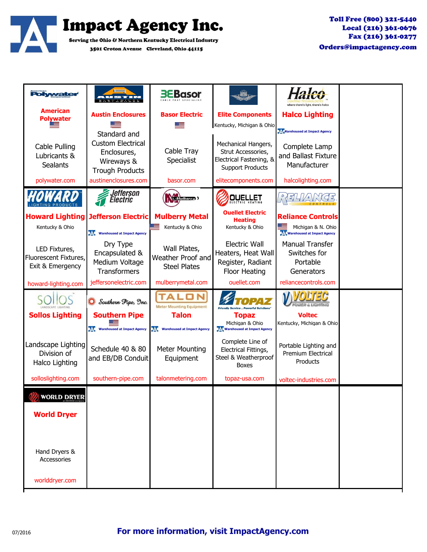

| <b>Polywater</b>                                           | - - - - - - - - - -                                                                             | <b>BEBasor</b>                                            |                                                                                                 |                                                                                          |  |
|------------------------------------------------------------|-------------------------------------------------------------------------------------------------|-----------------------------------------------------------|-------------------------------------------------------------------------------------------------|------------------------------------------------------------------------------------------|--|
| <b>American</b><br><b>Polywater</b>                        | <b>Austin Enclosures</b>                                                                        | <b>Basor Electric</b>                                     | <b>Elite Components</b><br>Kentucky, Michigan & Ohio                                            | <b>Halco Lighting</b>                                                                    |  |
| Cable Pulling<br>Lubricants &<br><b>Sealants</b>           | Standard and<br><b>Custom Electrical</b><br>Enclosures,<br>Wireways &<br><b>Trough Products</b> | Cable Tray<br>Specialist                                  | Mechanical Hangers,<br>Strut Accessories,<br>Electrical Fastening, &<br><b>Support Products</b> | Marehoused at Impact Agency<br>Complete Lamp<br>and Ballast Fixture<br>Manufacturer      |  |
| polywater.com                                              | austinenclosures.com                                                                            | basor.com                                                 | elitecomponents.com                                                                             | halcolighting.com                                                                        |  |
| NG PRODUCT                                                 | <u>J</u> efferson<br>lectric                                                                    | (Mulberry)                                                | <b>OUELLET</b>                                                                                  |                                                                                          |  |
| <b>Howard Lighting</b><br>Kentucky & Ohio                  | Jefferson Electric<br><b>VAL Warehoused at Impact Agency</b>                                    | <b>Mulberry Metal</b><br>Kentucky & Ohio                  | <b>Ouellet Electric</b><br><b>Heating</b><br>Kentucky & Ohio                                    | <b>Reliance Controls</b><br>Michigan & N. Ohio<br><b>JAC Warehoused at Impact Agency</b> |  |
| LED Fixtures,<br>Fluorescent Fixtures,<br>Exit & Emergency | Dry Type<br>Encapsulated &<br>Medium Voltage<br><b>Transformers</b>                             | Wall Plates,<br>Weather Proof and<br><b>Steel Plates</b>  | <b>Electric Wall</b><br>Heaters, Heat Wall<br>Register, Radiant<br>Floor Heating                | <b>Manual Transfer</b><br>Switches for<br>Portable<br>Generators                         |  |
| howard-lighting.com                                        | jeffersonelectric.com                                                                           | mulberrymetal.com                                         | ouellet.com                                                                                     | reliancecontrols.com                                                                     |  |
|                                                            | Southern Pipe, Inc.                                                                             | <b>Meter Mounting Equipment</b>                           | <b>Friendly Service  Powerful Solutions</b>                                                     | WEM A HOMINIC                                                                            |  |
| <b>Sollos Lighting</b>                                     | <b>Southern Pipe</b><br><b>VAL</b> Warehoused at Impact Agency                                  | <b>Talon</b><br>ıДE<br><b>Warehoused at Impact Agency</b> | <b>Topaz</b><br>Michigan & Ohio<br><b>AL Warehoused at Impact Agency</b>                        | <b>Voltec</b><br>Kentucky, Michigan & Ohio                                               |  |
| Landscape Lighting<br>Division of<br>Halco Lighting        | Schedule 40 & 80<br>and EB/DB Conduit                                                           | <b>Meter Mounting</b><br>Equipment                        | Complete Line of<br>Electrical Fittings,<br>Steel & Weatherproof<br><b>Boxes</b>                | Portable Lighting and<br><b>Premium Electrical</b><br>Products                           |  |
| solloslighting.com                                         | southern-pipe.com                                                                               | talonmetering.com                                         | topaz-usa.com                                                                                   | voltec-industries.com                                                                    |  |
| <b>WORLD DRYER</b>                                         |                                                                                                 |                                                           |                                                                                                 |                                                                                          |  |
| <b>World Dryer</b>                                         |                                                                                                 |                                                           |                                                                                                 |                                                                                          |  |
|                                                            |                                                                                                 |                                                           |                                                                                                 |                                                                                          |  |
| Hand Dryers &<br>Accessories                               |                                                                                                 |                                                           |                                                                                                 |                                                                                          |  |
| worlddryer.com                                             |                                                                                                 |                                                           |                                                                                                 |                                                                                          |  |